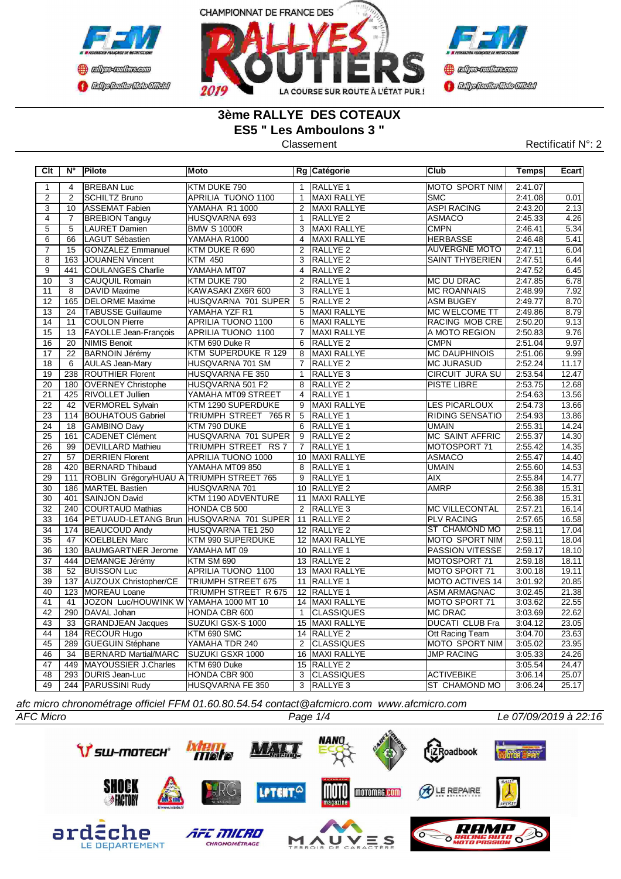



# **3ème RALLYE DES COTEAUX ES5 " Les Amboulons 3 "**

**COCHOLOGICO CENTRAL MEDICATE** 

### Classement **Classement** Rectificatif N°: 2

| Clt                       | $N^{\circ}$     | Pilote                                   | Moto                                        |                 | Rg Catégorie        | <b>Club</b>            | Temps   | Ecart |
|---------------------------|-----------------|------------------------------------------|---------------------------------------------|-----------------|---------------------|------------------------|---------|-------|
| $\overline{1}$            | $\overline{4}$  | <b>BREBAN Luc</b>                        | KTM DUKE 790                                | $\mathbf{1}$    | <b>RALLYE 1</b>     | <b>MOTO SPORT NIM</b>  | 2:41.07 |       |
| $\overline{2}$            | $\overline{2}$  | <b>SCHILTZ Bruno</b>                     | APRILIA TUONO 1100                          | $\mathbf{1}$    | <b>MAXI RALLYE</b>  | <b>SMC</b>             | 2:41.08 | 0.01  |
| $\overline{\overline{3}}$ | 10              | ASSEMAT Fabien                           | YAMAHA R1 1000                              |                 | 2 MAXI RALLYE       | <b>ASPI RACING</b>     | 2:43.20 | 2.13  |
| $\overline{4}$            | $\overline{7}$  | <b>BREBION Tanguy</b>                    | HUSQVARNA 693                               | $\mathbf{1}$    | RALLYE <sub>2</sub> | <b>ASMACO</b>          | 2:45.33 | 4.26  |
| $\overline{5}$            | $\overline{5}$  | <b>LAURET Damien</b>                     | <b>BMW S 1000R</b>                          | 3               | MAXI RALLYE         | <b>CMPN</b>            | 2:46.41 | 5.34  |
| $\overline{6}$            | 66              | LAGUT Sébastien                          | YAMAHA R1000                                |                 | 4 MAXI RALLYE       | <b>HERBASSE</b>        | 2:46.48 | 5.41  |
| $\overline{7}$            | 15              | <b>GONZALEZ Emmanuel</b>                 | KTM DUKE R 690                              | $\overline{2}$  | RALLYE <sub>2</sub> | <b>AUVERGNE MOTO</b>   | 2:47.11 | 6.04  |
| $\overline{8}$            | 163             | JOUANEN Vincent                          | $\overline{KTM}$ 450                        | $\overline{3}$  | <b>RALLYE 2</b>     | <b>SAINT THYBERIEN</b> | 2:47.51 | 6.44  |
| $\overline{9}$            | 441             | COULANGES Charlie                        | YAMAHA MT07                                 | $\overline{4}$  | <b>RALLYE 2</b>     |                        | 2:47.52 | 6.45  |
| 10                        | 3               | <b>CAUQUIL Romain</b>                    | KTM DUKE 790                                | $\overline{2}$  | RALLYE <sub>1</sub> | IMC DU DRAC            | 2:47.85 | 6.78  |
| 11                        | 8               | <b>DAVID Maxime</b>                      | KAWASAKI ZX6R 600                           | 3               | <b>RALLYE 1</b>     | <b>MC ROANNAIS</b>     | 2:48.99 | 7.92  |
| 12                        | 165             | <b>DELORME</b> Maxime                    | HUSQVARNA 701 SUPER                         | $5\overline{)}$ | RALLYE <sub>2</sub> | <b>ASM BUGEY</b>       | 2:49.77 | 8.70  |
| 13                        | 24              | <b>TABUSSE Guillaume</b>                 | YAMAHA YZF R1                               | 5               | MAXI RALLYE         | MC WELCOME TT          | 2:49.86 | 8.79  |
| 14                        | 11              | <b>COULON Pierre</b>                     | <b>APRILIA TUONO 1100</b>                   | 6               | MAXI RALLYE         | RACING MOB CRE         | 2:50.20 | 9.13  |
| 15                        | 13              | <b>FAYOLLE Jean-François</b>             | APRILIA TUONO 1100                          | 7               | MAXI RALLYE         | A MOTO REGION          | 2:50.83 | 9.76  |
| 16                        | 20              | NIMIS Benoit                             | KTM 690 Duke R                              |                 | 6 RALLYE 2          | <b>CMPN</b>            | 2:51.04 | 9.97  |
| 17                        | 22              | <b>BARNOIN Jérémy</b>                    | KTM SUPERDUKE R 129                         |                 | 8   MAXI RALLYE     | <b>MC DAUPHINOIS</b>   | 2:51.06 | 9.99  |
| $\overline{18}$           | 6               | <b>AULAS Jean-Mary</b>                   | HUSQVARNA 701 SM                            | $\overline{7}$  | RALLYE <sub>2</sub> | <b>MC JURASUD</b>      | 2:52.24 | 11.17 |
| 19                        | 238             | <b>ROUTHIER Florent</b>                  | HUSQVARNA FE 350                            | $\mathbf{1}$    | RALLYE <sub>3</sub> | <b>CIRCUIT JURA SU</b> | 2:53.54 | 12.47 |
| 20                        | 180             | <b>OVERNEY Christophe</b>                | HUSQVARNA 501 F2                            | 8               | RALLYE <sub>2</sub> | PISTE LIBRE            | 2:53.75 | 12.68 |
| 21                        | 425             | <b>RIVOLLET Jullien</b>                  | YAMAHA MT09 STREET                          | $\overline{4}$  | <b>RALLYE 1</b>     |                        | 2:54.63 | 13.56 |
| $\overline{22}$           | 42              | <b>VERMOREL Sylvain</b>                  | KTM 1290 SUPERDUKE                          | $\overline{9}$  | <b>MAXI RALLYE</b>  | <b>LES PICARLOUX</b>   | 2:54.73 | 13.66 |
| 23                        |                 | 114 BOUHATOUS Gabriel                    | TRIUMPH STREET 765 R                        |                 | 5 RALLYE 1          | <b>RIDING SENSATIO</b> | 2:54.93 | 13.86 |
| 24                        | $\overline{18}$ | GAMBINO Davy                             | KTM 790 DUKE                                |                 | 6 RALLYE 1          | <b>UMAIN</b>           | 2:55.31 | 14.24 |
| 25                        | 161             | <b>CADENET Clément</b>                   | HUSQVARNA 701 SUPER                         |                 | 9 RALLYE 2          | <b>MC SAINT AFFRIC</b> | 2:55.37 | 14.30 |
| 26                        | 99              | <b>DEVILLARD Mathieu</b>                 | TRIUMPH STREET RS 7                         |                 | 7 RALLYE 1          | MOTOSPORT 71           | 2:55.42 | 14.35 |
| $\overline{27}$           | 57              | <b>DERRIEN Florent</b>                   | APRILIA TUONO 1000                          |                 | 10 MAXI RALLYE      | <b>ASMACO</b>          | 2:55.47 | 14.40 |
| $\overline{28}$           |                 | 420 BERNARD Thibaud                      | YAMAHA MT09 850                             | $\overline{8}$  | <b>RALLYE 1</b>     | <b>UMAIN</b>           | 2:55.60 | 14.53 |
| 29                        | 111             | ROBLIN Grégory/HUAU A TRIUMPH STREET 765 |                                             | 9               | <b>RALLYE 1</b>     | AIX                    | 2:55.84 | 14.77 |
| 30                        | 186             | <b>MARTEL Bastien</b>                    | HUSQVARNA 701                               |                 | 10 RALLYE 2         | <b>AMRP</b>            | 2:56.38 | 15.31 |
| 30                        | 401             | SAINJON David                            | KTM 1190 ADVENTURE                          |                 | 11 MAXI RALLYE      |                        | 2:56.38 | 15.31 |
| 32                        | 240             | COURTAUD Mathias                         | HONDA CB 500                                | $\overline{2}$  | RALLYE <sub>3</sub> | <b>MC VILLECONTAL</b>  | 2:57.21 | 16.14 |
| 33                        |                 |                                          | 164 PETUAUD-LETANG Brun HUSQVARNA 701 SUPER |                 | 11 RALLYE 2         | <b>PLV RACING</b>      | 2:57.65 | 16.58 |
| 34                        |                 | 174 BEAUCOUD Andy                        | HUSQVARNA TE1 250                           |                 | 12 RALLYE 2         | ST CHAMOND MO          | 2:58.11 | 17.04 |
| 35                        | 47              | KOELBLEN Marc                            | KTM 990 SUPERDUKE                           |                 | 12 MAXI RALLYE      | <b>MOTO SPORT NIM</b>  | 2:59.11 | 18.04 |
| 36                        |                 | 130 BAUMGARTNER Jerome                   | YAMAHA MT 09                                |                 | 10 RALLYE 1         | <b>PASSION VITESSE</b> | 2:59.17 | 18.10 |
| 37                        |                 | 444   DEMANGE Jérémy                     | KTM SM 690                                  |                 | 13 RALLYE 2         | MOTOSPORT 71           | 2:59.18 | 18.11 |
| 38                        | 52              | <b>BUISSON Luc</b>                       | APRILIA TUONO 1100                          |                 | 13 MAXI RALLYE      | MOTO SPORT 71          | 3:00.18 | 19.11 |
| 39                        | 137             | <b>AUZOUX Christopher/CE</b>             | <b>TRIUMPH STREET 675</b>                   |                 | 11 RALLYE 1         | <b>MOTO ACTIVES 14</b> | 3:01.92 | 20.85 |
| 40                        | 123             | MOREAU Loane                             | <b>TRIUMPH STREET R 675</b>                 |                 | 12 RALLYE 1         | ASM ARMAGNAC           | 3:02.45 | 21.38 |
| 41                        | 41              | JOZON Luc/HOUWINK W YAMAHA 1000 MT 10    |                                             |                 | 14 MAXI RALLYE      | MOTO SPORT 71          | 3:03.62 | 22.55 |
| $\overline{42}$           | 290             | DAVAL Johan                              | HONDA CBR 600                               | $\mathbf{1}$    | <b>CLASSIQUES</b>   | <b>MC DRAC</b>         | 3:03.69 | 22.62 |
| 43                        | 33              | <b>GRANDJEAN Jacques</b>                 | SUZUKI GSX-S 1000                           |                 | 15 MAXI RALLYE      | <b>DUCATI CLUB Fra</b> | 3:04.12 | 23.05 |
| 44                        |                 | 184 RECOUR Hugo                          | KTM 690 SMC                                 |                 | 14 RALLYE 2         | Ott Racing Team        | 3:04.70 | 23.63 |
| $\overline{45}$           | 289             | <b>GUEGUIN Stéphane</b>                  | YAMAHA TDR 240                              | 2               | <b>ICLASSIQUES</b>  | MOTO SPORT NIM         | 3:05.02 | 23.95 |
| 46                        | $\overline{34}$ | <b>BERNARD Martial/MARC</b>              | SUZUKI GSXR 1000                            |                 | 16 MAXI RALLYE      | <b>JMP RACING</b>      | 3:05.33 | 24.26 |
| $\overline{47}$           | 449             | MAYOUSSIER J.Charles                     | KTM 690 Duke                                |                 | 15 RALLYE 2         |                        | 3:05.54 | 24.47 |
| 48                        |                 | 293 DURIS Jean-Luc                       | HONDA CBR 900                               | 3               | <b>CLASSIQUES</b>   | <b>ACTIVEBIKE</b>      | 3:06.14 | 25.07 |
| 49                        |                 | 244 PARUSSINI Rudy                       | HUSQVARNA FE 350                            |                 | 3 RALLYE 3          | <b>ST CHAMOND MO</b>   | 3:06.24 | 25.17 |

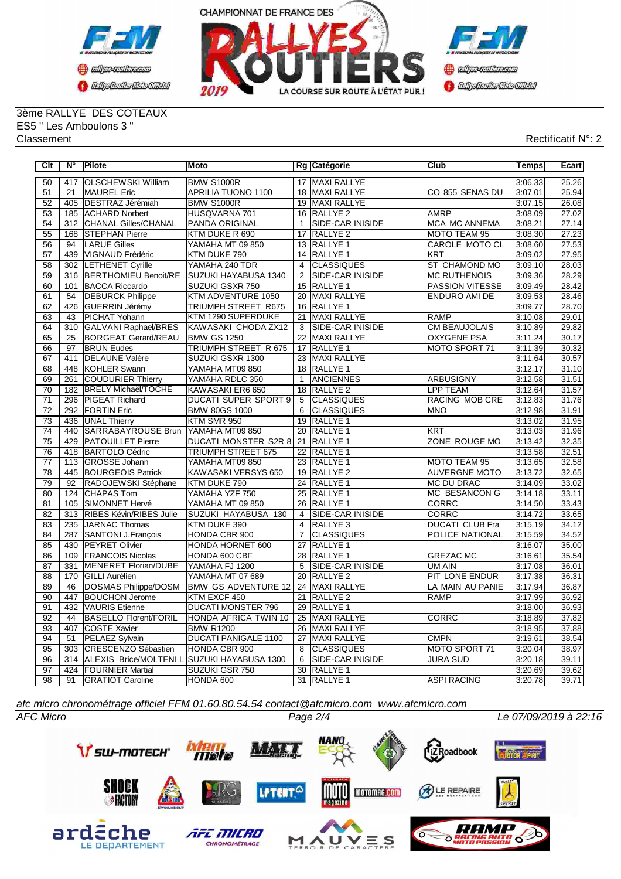



3ème RALLYE DES COTEAUX ES5 " Les Amboulons 3 " Classement Rectificatif N°: 2

| Clt             | $N^{\circ}$     | Pilote                                          | <b>Moto</b>                 |                 | Rg Catégorie            | Club                   | Temps   | Ecart |
|-----------------|-----------------|-------------------------------------------------|-----------------------------|-----------------|-------------------------|------------------------|---------|-------|
| 50              | 417             | <b>OLSCHEWSKI William</b>                       | <b>BMW S1000R</b>           |                 | 17 MAXI RALLYE          |                        | 3:06.33 | 25.26 |
| 51              | 21              | <b>MAUREL Eric</b>                              | APRILIA TUONO 1100          |                 | 18 MAXI RALLYE          | CO 855 SENAS DU        | 3:07.01 | 25.94 |
| 52              |                 | 405   DESTRAZ Jérémiah                          | <b>BMW S1000R</b>           |                 | 19 MAXI RALLYE          |                        | 3:07.15 | 26.08 |
| 53              |                 | 185 ACHARD Norbert                              | HUSQVARNA 701               |                 | 16 RALLYE 2             | <b>AMRP</b>            | 3:08.09 | 27.02 |
| 54              | 312             | CHANAL Gilles/CHANAL                            | PANDA ORIGINAL              | $\mathbf{1}$    | <b>SIDE-CAR INISIDE</b> | MCA MC ANNEMA          | 3:08.21 | 27.14 |
| 55              |                 | 168 STEPHAN Pierre                              | KTM DUKE R 690              | 17              | RALLYE <sub>2</sub>     | MOTO TEAM 95           | 3:08.30 | 27.23 |
| 56              | 94              | <b>LARUE Gilles</b>                             | YAMAHA MT 09 850            |                 | 13 RALLYE 1             | <b>CAROLE MOTO CL</b>  | 3:08.60 | 27.53 |
| 57              |                 | 439 VIGNAUD Frédéric                            | KTM DUKE 790                |                 | 14 RALLYE 1             | KRT                    | 3:09.02 | 27.95 |
| 58              |                 | 302 LETHENET Cyrille                            | YAMAHA 240 TDR              | $\overline{4}$  | CLASSIQUES              | ST CHAMOND MO          | 3:09.10 | 28.03 |
| 59              |                 | 316 BERTHOMIEU Benoit/RE                        | SUZUKI HAYABUSA 1340        | $\overline{2}$  | <b>SIDE-CAR INISIDE</b> | <b>MC RUTHENOIS</b>    | 3:09.36 | 28.29 |
| 60              | 101             | <b>BACCA Riccardo</b>                           | <b>SUZUKI GSXR 750</b>      |                 | 15 RALLYE 1             | <b>PASSION VITESSE</b> | 3:09.49 | 28.42 |
| 61              | 54              | <b>DEBURCK Philippe</b>                         | KTM ADVENTURE 1050          |                 | 20 MAXI RALLYE          | ENDURO AMI DE          | 3:09.53 | 28.46 |
| 62              | 426             | <b>GUERRIN Jérémy</b>                           | <b>TRIUMPH STREET R675</b>  |                 | 16 RALLYE 1             |                        | 3:09.77 | 28.70 |
| 63              | 43              | PICHAT Yohann                                   | KTM 1290 SUPERDUKE          | 21              | <b>MAXI RALLYE</b>      | <b>RAMP</b>            | 3:10.08 | 29.01 |
| 64              |                 | 310 GALVANI Raphael/BRES                        | KAWASAKI CHODA ZX12         | 3               | <b>SIDE-CAR INISIDE</b> | <b>CM BEAUJOLAIS</b>   | 3:10.89 | 29.82 |
| 65              | $\overline{25}$ | <b>BORGEAT Gerard/REAU</b>                      | <b>BMW GS 1250</b>          |                 | 22 MAXI RALLYE          | <b>OXYGENE PSA</b>     | 3:11.24 | 30.17 |
| 66              | 97              | <b>BRUN Eudes</b>                               | TRIUMPH STREET R 675        |                 | 17 RALLYE 1             | MOTO SPORT 71          | 3:11.39 | 30.32 |
| 67              | 411             | <b>DELAUNE Valère</b>                           | SUZUKI GSXR 1300            |                 | 23 MAXI RALLYE          |                        | 3:11.64 | 30.57 |
| 68              | 448             | KOHLER Swann                                    | YAMAHA MT09 850             |                 | 18 RALLYE 1             |                        | 3:12.17 | 31.10 |
| 69              | 261             | <b>COUDURIER Thierry</b>                        | YAMAHA RDLC 350             | $\mathbf{1}$    | <b>ANCIENNES</b>        | <b>ARBUSIGNY</b>       | 3:12.58 | 31.51 |
| $\overline{70}$ | 182             | <b>BRELY Michaël/TOCHE</b>                      | KAWASAKI ER6 650            |                 | 18 RALLYE 2             | <b>LPP TEAM</b>        | 3:12.64 | 31.57 |
| $\overline{71}$ | 296             | <b>PIGEAT Richard</b>                           | <b>DUCATI SUPER SPORT 9</b> | $\overline{5}$  | CLASSIQUES              | RACING MOB CRE         | 3:12.83 | 31.76 |
| $\overline{72}$ |                 | 292 FORTIN Eric                                 | <b>BMW 80GS 1000</b>        | 6               | <b>CLASSIQUES</b>       | <b>MNO</b>             | 3:12.98 | 31.91 |
| 73              |                 | 436 UNAL Thierry                                | KTM SMR 950                 |                 | 19 RALLYE 1             |                        | 3:13.02 | 31.95 |
| 74              |                 | 440 SARRABAYROUSE Brun                          | YAMAHA MT09 850             |                 | 20 RALLYE 1             | <b>KRT</b>             | 3:13.03 | 31.96 |
| 75              | 429             | <b>PATOUILLET</b> Pierre                        | DUCATI MONSTER S2R 8        |                 | 21 RALLYE 1             | ZONE ROUGE MO          | 3:13.42 | 32.35 |
| 76              |                 | 418 BARTOLO Cédric                              | TRIUMPH STREET 675          |                 | 22 RALLYE 1             |                        | 3:13.58 | 32.51 |
| 77              |                 | 113 GROSSE Johann                               | YAMAHA MT09 850             |                 | 23 RALLYE 1             | <b>MOTO TEAM 95</b>    | 3:13.65 | 32.58 |
| 78              |                 | 445 BOURGEOIS Patrick                           | KAWASAKI VERSYS 650         |                 | 19 RALLYE 2             | <b>AUVERGNE MOTO</b>   | 3:13.72 | 32.65 |
| 79              | $\overline{92}$ | RADOJEWSKI Stéphane                             | KTM DUKE 790                |                 | 24 RALLYE 1             | MC DU DRAC             | 3:14.09 | 33.02 |
| 80              | 124             | <b>CHAPAS Tom</b>                               | YAMAHA YZF 750              |                 | 25 RALLYE 1             | <b>MC BESANCON G</b>   | 3:14.18 | 33.11 |
| 81              |                 | 105 SIMONNET Hervé                              | YAMAHA MT 09 850            |                 | 26 RALLYE 1             | CORRC                  | 3:14.50 | 33.43 |
| 82              |                 | 313 RIBES Kévin/RIBES Julie                     | SUZUKI HAYABUSA 130         | $\overline{4}$  | <b>SIDE-CAR INISIDE</b> | <b>CORRC</b>           | 3:14.72 | 33.65 |
| 83              |                 | 235 JARNAC Thomas                               | KTM DUKE 390                | $\overline{4}$  | RALLYE <sub>3</sub>     | <b>DUCATI CLUB Fra</b> | 3:15.19 | 34.12 |
| 84              | 287             | SANTONI J.François                              | <b>HONDA CBR 900</b>        | $\overline{7}$  | <b>CLASSIQUES</b>       | POLICE NATIONAL        | 3:15.59 | 34.52 |
| 85              | 430             | <b>PEYRET Olivier</b>                           | HONDA HORNET 600            | 27              | RALLYE <sub>1</sub>     |                        | 3:16.07 | 35.00 |
| 86              | 109             | <b>FRANCOIS Nicolas</b>                         | HONDA 600 CBF               |                 | 28 RALLYE 1             | <b>GREZAC MC</b>       | 3:16.61 | 35.54 |
| 87              | 331             | MENERET Florian/DUBE                            | YAMAHA FJ 1200              | 5               | <b>SIDE-CAR INISIDE</b> | <b>UM AIN</b>          | 3:17.08 | 36.01 |
| 88              | 170             | <b>GILLI</b> Aurélien                           | YAMAHA MT 07 689            |                 | 20 RALLYE 2             | PIT LONE ENDUR         | 3:17.38 | 36.31 |
| 89              | 46              | DOSMAS Philippe/DOSM                            | <b>BMW GS ADVENTURE 12</b>  |                 | 24 MAXI RALLYE          | LA MAIN AU PANIE       | 3:17.94 | 36.87 |
| 90              | 447             | <b>BOUCHON Jerome</b>                           | KTM EXCF 450                | $\overline{21}$ | <b>RALLYE 2</b>         | <b>RAMP</b>            | 3:17.99 | 36.92 |
| $\overline{91}$ | 432             | <b>VAURIS</b> Etienne                           | <b>DUCATI MONSTER 796</b>   |                 | 29 RALLYE 1             |                        | 3:18.00 | 36.93 |
| $\overline{92}$ | 44              | <b>BASELLO Florent/FORIL</b>                    | HONDA AFRICA TWIN 10        | $\overline{25}$ | MAXI RALLYE             | CORRC                  | 3:18.89 | 37.82 |
| 93              | 407             | COSTE Xavier                                    | <b>BMW R1200</b>            | 26              | MAXI RALLYE             |                        | 3:18.95 | 37.88 |
| 94              | 51              | PELAEZ Sylvain                                  | <b>DUCATI PANIGALE 1100</b> | 27              | MAXI RALLYE             | <b>CMPN</b>            | 3:19.61 | 38.54 |
| 95              |                 | 303 CRESCENZO Sébastien                         | HONDA CBR 900               | 8               | <b>CLASSIQUES</b>       | MOTO SPORT 71          | 3:20.04 | 38.97 |
| 96              |                 | 314 ALEXIS Brice/MOLTENI L SUZUKI HAYABUSA 1300 |                             | 6               | SIDE-CAR INISIDE        | <b>JURA SUD</b>        | 3:20.18 | 39.11 |
| 97              | 424             | <b>FOURNIER Martial</b>                         | SUZUKI GSR 750              | $\overline{30}$ | <b>RALLYE 1</b>         |                        | 3:20.69 | 39.62 |
| 98              | 91              | <b>GRATIOT Caroline</b>                         | HONDA 600                   |                 | 31 RALLYE 1             | <b>ASPI RACING</b>     | 3:20.78 | 39.71 |

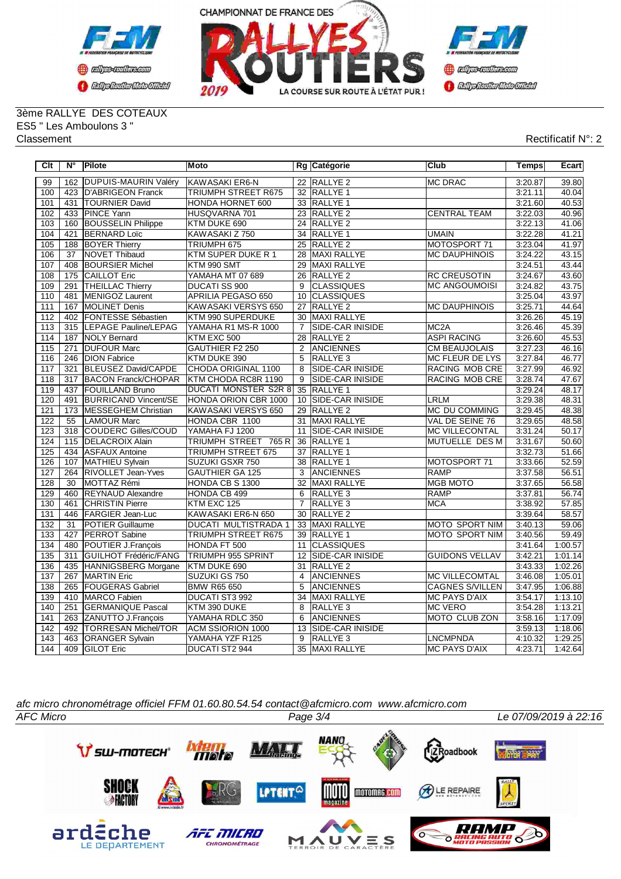



3ème RALLYE DES COTEAUX ES5 " Les Amboulons 3 " Classement Rectificatif N°: 2

| Clt              | N°              | Pilote                       | <b>Moto</b>                    |                 | Rg Catégorie            | Club                   | Temps   | Ecart   |
|------------------|-----------------|------------------------------|--------------------------------|-----------------|-------------------------|------------------------|---------|---------|
| 99               | 162             | <b>DUPUIS-MAURIN Valéry</b>  | KAWASAKI ER6-N                 |                 | 22 RALLYE 2             | <b>MC DRAC</b>         | 3:20.87 | 39.80   |
| 100              | 423             | <b>D'ABRIGEON Franck</b>     | <b>TRIUMPH STREET R675</b>     |                 | 32 RALLYE 1             |                        | 3:21.11 | 40.04   |
| 101              | 431             | <b>TOURNIER David</b>        | HONDA HORNET 600               |                 | 33 RALLYE 1             |                        | 3:21.60 | 40.53   |
| 102              | 433             | <b>PINCE Yann</b>            | HUSQVARNA 701                  | 23              | RALLYE <sub>2</sub>     | <b>CENTRAL TEAM</b>    | 3:22.03 | 40.96   |
| 103              | 160             | <b>BOUSSELIN Philippe</b>    | KTM DUKE 690                   |                 | 24 RALLYE 2             |                        | 3:22.13 | 41.06   |
| 104              | 421             | <b>BERNARD Loïc</b>          | KAWASAKI Z 750                 | 34              | RALLYE <sub>1</sub>     | <b>UMAIN</b>           | 3:22.28 | 41.21   |
| 105              | 188             | <b>BOYER Thierry</b>         | TRIUMPH 675                    | 25              | <b>RALLYE 2</b>         | MOTOSPORT 71           | 3:23.04 | 41.97   |
| 106              | 37              | <b>NOVET Thibaud</b>         | <b>KTM SUPER DUKE R 1</b>      | 28              | <b>MAXI RALLYE</b>      | <b>MC DAUPHINOIS</b>   | 3:24.22 | 43.15   |
| 107              | 408             | <b>BOURSIER Michel</b>       | KTM 990 SMT                    | 29              | <b>MAXI RALLYE</b>      |                        | 3:24.51 | 43.44   |
| 108              | 175             | <b>CAILLOT Eric</b>          | YAMAHA MT 07 689               | 26              | <b>RALLYE 2</b>         | <b>RC CREUSOTIN</b>    | 3:24.67 | 43.60   |
| 109              | 291             | <b>THEILLAC Thierry</b>      | <b>DUCATI SS 900</b>           | 9               | <b>CLASSIQUES</b>       | <b>MC ANGOUMOISI</b>   | 3:24.82 | 43.75   |
| 110              | 481             | MENIGOZ Laurent              | <b>APRILIA PEGASO 650</b>      | 10              | <b>CLASSIQUES</b>       |                        | 3:25.04 | 43.97   |
| 111              | 167             | <b>MOLINET Denis</b>         | KAWASAKI VERSYS 650            | 27              | <b>RALLYE 2</b>         | <b>MC DAUPHINOIS</b>   | 3:25.71 | 44.64   |
| 112              | 402             | <b>FONTESSE Sébastien</b>    | KTM 990 SUPERDUKE              |                 | 30 MAXI RALLYE          |                        | 3:26.26 | 45.19   |
| $\overline{113}$ | 315             | <b>LEPAGE Pauline/LEPAG</b>  | YAMAHA R1 MS-R 1000            | $\overline{7}$  | SIDE-CAR INISIDE        | MC <sub>2</sub> A      | 3:26.46 | 45.39   |
| 114              | 187             | NOLY Bernard                 | KTM EXC 500                    | 28              | RALLYE <sub>2</sub>     | <b>ASPI RACING</b>     | 3:26.60 | 45.53   |
| 115              | 271             | <b>DUFOUR Marc</b>           | GAUTHIER F2 250                | 2               | ANCIENNES               | <b>CM BEAUJOLAIS</b>   | 3:27.23 | 46.16   |
| 116              | 246             | <b>DION Fabrice</b>          | KTM DUKE 390                   | $\overline{5}$  | <b>RALLYE 3</b>         | <b>MC FLEUR DE LYS</b> | 3:27.84 | 46.77   |
| 117              | 321             | <b>BLEUSEZ David/CAPDE</b>   | CHODA ORIGINAL 1100            | 8               | <b>SIDE-CAR INISIDE</b> | <b>RACING MOB CRE</b>  | 3:27.99 | 46.92   |
| $\overline{118}$ | 317             | <b>BACON Franck/CHOPAR</b>   | KTM CHODA RC8R 1190            | $\overline{9}$  | SIDE-CAR INISIDE        | RACING MOB CRE         | 3:28.74 | 47.67   |
| 119              | 437             | <b>FOUILLAND Bruno</b>       | <b>DUCATI MONSTER S2R 8</b>    | $\overline{35}$ | <b>RALLYE 1</b>         |                        | 3:29.24 | 48.17   |
| 120              | 491             | <b>BURRICAND Vincent/SE</b>  | HONDA ORION CBR 1000           | 10              | <b>SIDE-CAR INISIDE</b> | <b>LRLM</b>            | 3:29.38 | 48.31   |
| 121              | 173             | MESSEGHEM Christian          | KAWASAKI VERSYS 650            |                 | 29 RALLYE 2             | MC DU COMMING          | 3:29.45 | 48.38   |
| 122              | 55              | <b>LAMOUR Marc</b>           | HONDA CBR 1100                 | 31              | <b>MAXI RALLYE</b>      | VAL DE SEINE 76        | 3:29.65 | 48.58   |
| 123              | 318             | <b>COUDERC Gilles/COUD</b>   | YAMAHA FJ 1200                 | 11              | SIDE-CAR INISIDE        | <b>MC VILLECONTAL</b>  | 3:31.24 | 50.17   |
| 124              | 115             | <b>DELACROIX Alain</b>       | <b>TRIUMPH STREET</b><br>765 R | 36              | RALLYE <sub>1</sub>     | MUTUELLE DES M         | 3:31.67 | 50.60   |
| 125              | 434             | <b>ASFAUX Antoine</b>        | TRIUMPH STREET 675             | 37              | <b>RALLYE 1</b>         |                        | 3:32.73 | 51.66   |
| 126              | 107             | MATHIEU Sylvain              | <b>SUZUKI GSXR 750</b>         | 38              | <b>RALLYE 1</b>         | MOTOSPORT 71           | 3:33.66 | 52.59   |
| 127              | 264             | RIVOLLET Jean-Yves           | <b>GAUTHIER GA 125</b>         | 3               | ANCIENNES               | <b>RAMP</b>            | 3:37.58 | 56.51   |
| 128              | $\overline{30}$ | MOTTAZ Rémi                  | HONDA CB S 1300                | 32              | MAXI RALLYE             | <b>MGB MOTO</b>        | 3:37.65 | 56.58   |
| 129              | 460             | <b>REYNAUD Alexandre</b>     | HONDA CB 499                   | 6               | RALLYE <sub>3</sub>     | RAMP                   | 3:37.81 | 56.74   |
| 130              | 461             | <b>CHRISTIN Pierre</b>       | KTM EXC 125                    | $\overline{7}$  | RALLYE <sub>3</sub>     | <b>MCA</b>             | 3:38.92 | 57.85   |
| $\overline{131}$ | 446             | <b>FARGIER Jean-Luc</b>      | KAWASAKI ER6-N 650             | 30              | RALLYE <sub>2</sub>     |                        | 3:39.64 | 58.57   |
| 132              | 31              | <b>POTIER Guillaume</b>      | DUCATI MULTISTRADA 1           |                 | 33 MAXI RALLYE          | <b>MOTO SPORT NIM</b>  | 3:40.13 | 59.06   |
| 133              | 427             | <b>PERROT Sabine</b>         | <b>TRIUMPH STREET R675</b>     | $\overline{39}$ | <b>RALLYE 1</b>         | MOTO SPORT NIM         | 3:40.56 | 59.49   |
| 134              | 480             | POUTIER J.Francois           | HONDA FT 500                   | 11              | <b>CLASSIQUES</b>       |                        | 3:41.64 | 1:00.57 |
| 135              | 311             | <b>GUILHOT Frédéric/FANG</b> | <b>TRIUMPH 955 SPRINT</b>      | 12              | <b>SIDE-CAR INISIDE</b> | <b>GUIDONS VELLAV</b>  | 3:42.21 | 1:01.14 |
| 136              | 435             | HANNIGSBERG Morgane          | KTM DUKE 690                   | $\overline{31}$ | <b>RALLYE 2</b>         |                        | 3:43.33 | 1:02.26 |
| 137              | 267             | <b>MARTIN Eric</b>           | SUZUKI GS 750                  | 4               | <b>ANCIENNES</b>        | <b>MC VILLECOMTAL</b>  | 3:46.08 | 1:05.01 |
| 138              | 265             | <b>FOUGERAS Gabriel</b>      | <b>BMW R65 650</b>             | $\overline{5}$  | <b>ANCIENNES</b>        | <b>CAGNES S/VILLEN</b> | 3:47.95 | 1:06.88 |
| 139              | 410             | MARCO Fabien                 | DUCATI ST3 992                 | 34              | MAXI RALLYE             | <b>MC PAYS D'AIX</b>   | 3:54.17 | 1:13.10 |
| 140              | 251             | <b>GERMANIQUE Pascal</b>     | KTM 390 DUKE                   | 8               | <b>RALLYE3</b>          | <b>MC VERO</b>         | 3:54.28 | 1:13.21 |
| 141              | 263             | ZANUTTO J.François           | YAMAHA RDLC 350                | 6               | <b>ANCIENNES</b>        | <b>MOTO CLUB ZON</b>   | 3:58.16 | 1:17.09 |
| 142              | 492             | <b>TORRESAN Michel/TOR</b>   | ACM SSIORION 1000              | 13              | SIDE-CAR INISIDE        |                        | 3:59.13 | 1:18.06 |
| 143              | 463             | <b>ORANGER Sylvain</b>       | YAMAHA YZF R125                | $\overline{9}$  | RALLYE <sub>3</sub>     | <b>LNCMPNDA</b>        | 4:10.32 | 1:29.25 |
| 144              | 409             | <b>GILOT Eric</b>            | DUCATI ST2 944                 |                 | 35 MAXI RALLYE          | <b>MC PAYS D'AIX</b>   | 4:23.71 | 1:42.64 |